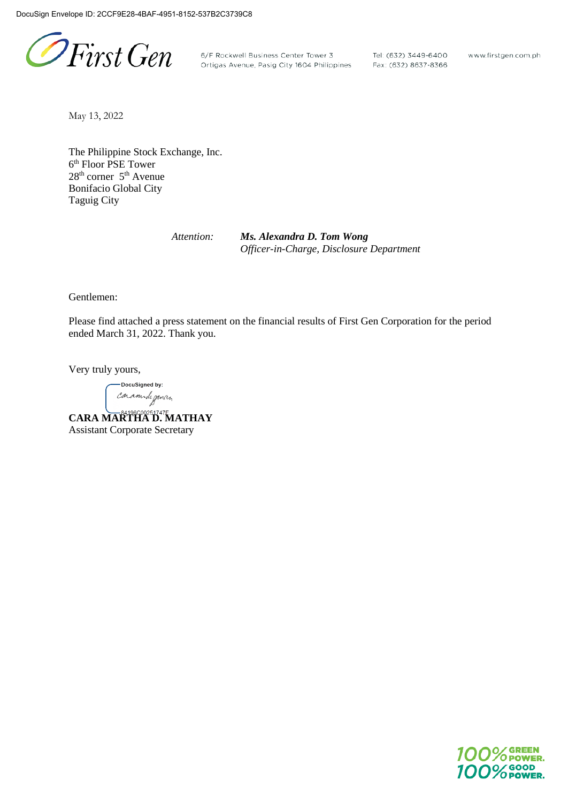PFirst Gen

6/F Rockwell Business Center Tower 3 Tel: (632) 3449-6400<br>Ortigas Avenue, Pasig City 1604 Philippines Fax: (632) 8637-8366

www.firstgen.com.ph

May 13, 2022

The Philippine Stock Exchange, Inc. 6th Floor PSE Tower 28th corner 5th Avenue Bonifacio Global City Taguig City

*Attention: Ms. Alexandra D. Tom Wong Officer-in-Charge, Disclosure Department*

Gentlemen:

Please find attached a press statement on the financial results of First Gen Corporation for the period ended March 31, 2022. Thank you.

Very truly yours,

-DocuSigned by: caramide gancin

**CARA MARTHA D. MATHAY** Assistant Corporate Secretary

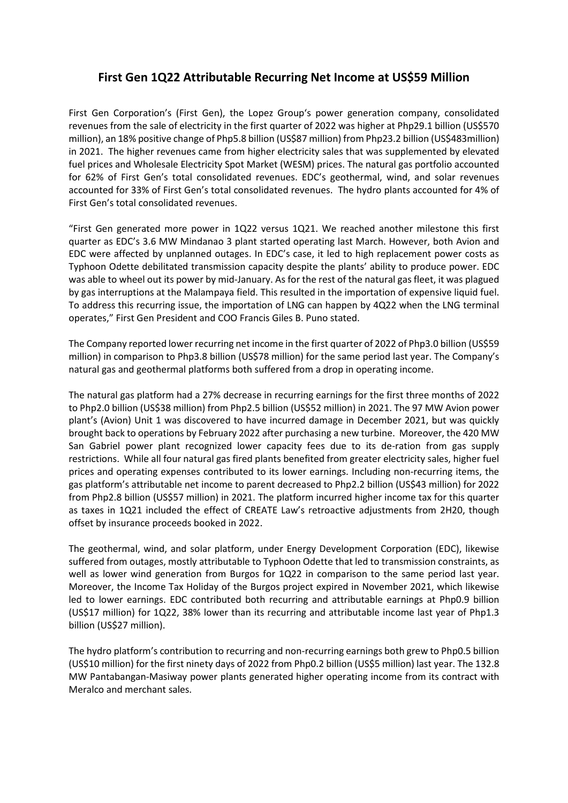## **First Gen 1Q22 Attributable Recurring Net Income at US\$59 Million**

First Gen Corporation's (First Gen), the Lopez Group's power generation company, consolidated revenues from the sale of electricity in the first quarter of 2022 was higher at Php29.1 billion (US\$570 million), an 18% positive change of Php5.8 billion (US\$87 million) from Php23.2 billion (US\$483million) in 2021. The higher revenues came from higher electricity sales that was supplemented by elevated fuel prices and Wholesale Electricity Spot Market (WESM) prices. The natural gas portfolio accounted for 62% of First Gen's total consolidated revenues. EDC's geothermal, wind, and solar revenues accounted for 33% of First Gen's total consolidated revenues. The hydro plants accounted for 4% of First Gen's total consolidated revenues.

"First Gen generated more power in 1Q22 versus 1Q21. We reached another milestone this first quarter as EDC's 3.6 MW Mindanao 3 plant started operating last March. However, both Avion and EDC were affected by unplanned outages. In EDC's case, it led to high replacement power costs as Typhoon Odette debilitated transmission capacity despite the plants' ability to produce power. EDC was able to wheel out its power by mid-January. As for the rest of the natural gas fleet, it was plagued by gas interruptions at the Malampaya field. This resulted in the importation of expensive liquid fuel. To address this recurring issue, the importation of LNG can happen by 4Q22 when the LNG terminal operates," First Gen President and COO Francis Giles B. Puno stated.

The Company reported lower recurring net income in the first quarter of 2022 of Php3.0 billion (US\$59 million) in comparison to Php3.8 billion (US\$78 million) for the same period last year. The Company's natural gas and geothermal platforms both suffered from a drop in operating income.

The natural gas platform had a 27% decrease in recurring earnings for the first three months of 2022 to Php2.0 billion (US\$38 million) from Php2.5 billion (US\$52 million) in 2021. The 97 MW Avion power plant's (Avion) Unit 1 was discovered to have incurred damage in December 2021, but was quickly brought back to operations by February 2022 after purchasing a new turbine. Moreover, the 420 MW San Gabriel power plant recognized lower capacity fees due to its de-ration from gas supply restrictions. While all four natural gas fired plants benefited from greater electricity sales, higher fuel prices and operating expenses contributed to its lower earnings. Including non-recurring items, the gas platform's attributable net income to parent decreased to Php2.2 billion (US\$43 million) for 2022 from Php2.8 billion (US\$57 million) in 2021. The platform incurred higher income tax for this quarter as taxes in 1Q21 included the effect of CREATE Law's retroactive adjustments from 2H20, though offset by insurance proceeds booked in 2022.

The geothermal, wind, and solar platform, under Energy Development Corporation (EDC), likewise suffered from outages, mostly attributable to Typhoon Odette that led to transmission constraints, as well as lower wind generation from Burgos for 1Q22 in comparison to the same period last year. Moreover, the Income Tax Holiday of the Burgos project expired in November 2021, which likewise led to lower earnings. EDC contributed both recurring and attributable earnings at Php0.9 billion (US\$17 million) for 1Q22, 38% lower than its recurring and attributable income last year of Php1.3 billion (US\$27 million).

The hydro platform's contribution to recurring and non-recurring earnings both grew to Php0.5 billion (US\$10 million) for the first ninety days of 2022 from Php0.2 billion (US\$5 million) last year. The 132.8 MW Pantabangan-Masiway power plants generated higher operating income from its contract with Meralco and merchant sales.